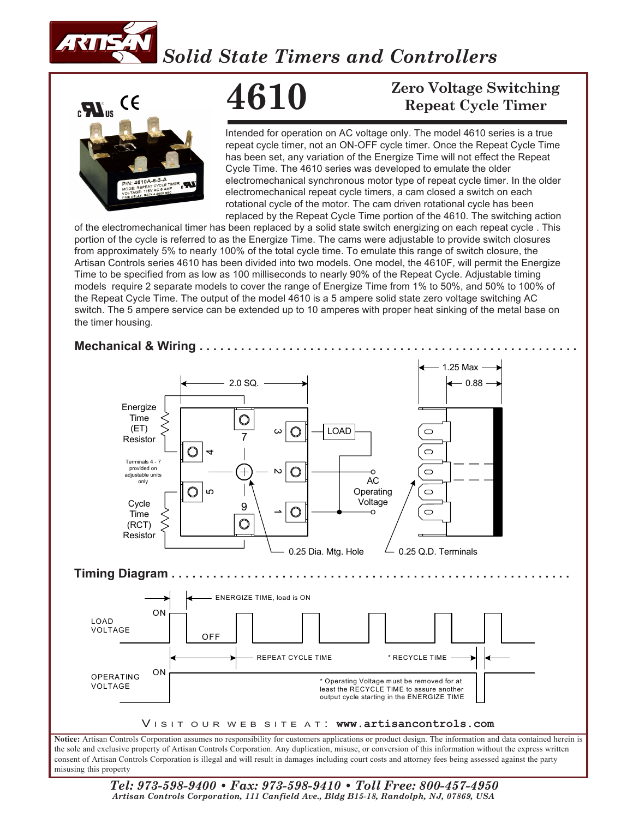

*Solid State Timers and Controllers*



**4610**

## **Zero Voltage Switching Repeat Cycle Timer**

Intended for operation on AC voltage only. The model 4610 series is a true repeat cycle timer, not an ON-OFF cycle timer. Once the Repeat Cycle Time has been set, any variation of the Energize Time will not effect the Repeat Cycle Time. The 4610 series was developed to emulate the older electromechanical synchronous motor type of repeat cycle timer. In the older electromechanical repeat cycle timers, a cam closed a switch on each rotational cycle of the motor. The cam driven rotational cycle has been replaced by the Repeat Cycle Time portion of the 4610. The switching action

of the electromechanical timer has been replaced by a solid state switch energizing on each repeat cycle . This portion of the cycle is referred to as the Energize Time. The cams were adjustable to provide switch closures from approximately 5% to nearly 100% of the total cycle time. To emulate this range of switch closure, the Artisan Controls series 4610 has been divided into two models. One model, the 4610F, will permit the Energize Time to be specified from as low as 100 milliseconds to nearly 90% of the Repeat Cycle. Adjustable timing models require 2 separate models to cover the range of Energize Time from 1% to 50%, and 50% to 100% of the Repeat Cycle Time. The output of the model 4610 is a 5 ampere solid state zero voltage switching AC switch. The 5 ampere service can be extended up to 10 amperes with proper heat sinking of the metal base on the timer housing.





*Tel: 973-598-9400 • Fax: 973-598-9410 • Toll Free: 800-457-4950 Artisan Controls Corporation, 111 Canfield Ave., Bldg B15-18, Randolph, NJ, 07869, USA*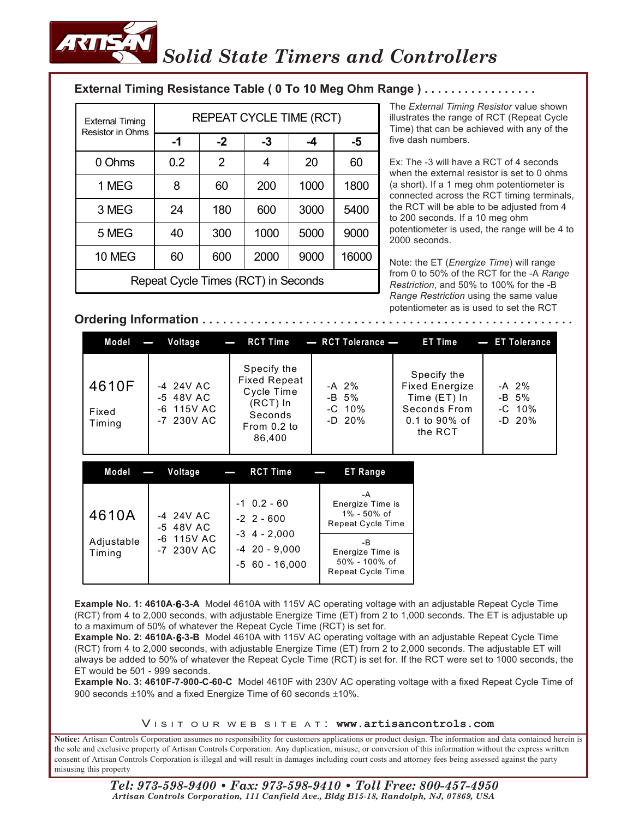

## External Timing Resistance Table (0 To 10 Meg Ohm Range) . . . . . . . . . . . . . . . . .

| <b>External Timing</b><br><b>Resistor in Ohms</b> | <b>REPEAT CYCLE TIME (RCT)</b> |      |      |      |       |
|---------------------------------------------------|--------------------------------|------|------|------|-------|
|                                                   | -1                             | $-2$ | $-3$ | -4   | -5    |
| 0 Ohms                                            | 0.2                            | 2    | 4    | 20   | 60    |
| 1 MEG                                             | 8                              | 60   | 200  | 1000 | 1800  |
| 3 MEG                                             | 24                             | 180  | 600  | 3000 | 5400  |
| 5 MEG                                             | 40                             | 300  | 1000 | 5000 | 9000  |
| 10 MEG                                            | 60                             | 600  | 2000 | 9000 | 16000 |
| Repeat Cycle Times (RCT) in Seconds               |                                |      |      |      |       |

The *External Timing Resistor* value shown illustrates the range of RCT (Repeat Cycle Time) that can be achieved with any of the five dash numbers.

000 | 9000 | potentiometer is used, the range will be 4 to Ex: The -3 will have a RCT of 4 seconds when the external resistor is set to 0 ohms (a short). If a 1 meg ohm potentiometer is connected across the RCT timing terminals, the RCT will be able to be adjusted from 4 to 200 seconds. If a 10 meg ohm 2000 seconds.

> Note: the ET (*Energize Time*) will range from 0 to 50% of the RCT for the -A *Range Restriction*, and 50% to 100% for the -B *Range Restriction* using the same value potentiometer as is used to set the RCT

## **Ordering Information . . . . . . . . . . . . . . . . . . . . . . . . . . . . . . . . . . . . . . . . . . . . . . . . . . . . . .**

| $Model$ $-$              | Voltage                                              | - RCT Time - RCT Tolerance -                                                                         |                                          | ET Time                                                                                            | - ET Tolerance                           |
|--------------------------|------------------------------------------------------|------------------------------------------------------------------------------------------------------|------------------------------------------|----------------------------------------------------------------------------------------------------|------------------------------------------|
| 4610F<br>Fixed<br>Timing | -4 24V AC<br>-5 48V AC<br>$-6$ 115V AC<br>-7 230V AC | Specify the<br><b>Fixed Repeat</b><br>Cycle Time<br>$(RCT)$ In<br>Seconds<br>From $0.2$ to<br>86,400 | $-A$ 2%<br>-B 5%<br>$-C$ 10%<br>$-D$ 20% | Specify the<br><b>Fixed Energize</b><br>Time $(ET)$ In<br>Seconds From<br>0.1 to 90% of<br>the RCT | $-A$ 2%<br>-B 5%<br>$-C$ 10%<br>$-D$ 20% |

|                      | Model - Voltage                                    | <b>RCT Time</b>                                 | <b>ET Range</b>                                                   |
|----------------------|----------------------------------------------------|-------------------------------------------------|-------------------------------------------------------------------|
| 4610A                | -4 24V AC<br>-5 48V AC<br>-6 115V AC<br>-7 230V AC | $-1$ 0.2 - 60<br>$-2$ 2 - 600<br>$-3$ 4 - 2,000 | -A<br>Energize Time is<br>1% - 50% of<br><b>Repeat Cycle Time</b> |
| Adjustable<br>Timing |                                                    | $-4$ 20 - 9,000<br>$-5$ 60 - 16,000             | -B<br>Energize Time is<br>50% - 100% of<br>Repeat Cycle Time      |

**Example No. 1: 4610A-6-3-A** Model 4610A with 115V AC operating voltage with an adjustable Repeat Cycle Time (RCT) from 4 to 2,000 seconds, with adjustable Energize Time (ET) from 2 to 1,000 seconds. The ET is adjustable up to a maximum of 50% of whatever the Repeat Cycle Time (RCT) is set for.

**Example No. 2: 4610A-6-3-B** Model 4610A with 115V AC operating voltage with an adjustable Repeat Cycle Time (RCT) from 4 to 2,000 seconds, with adjustable Energize Time (ET) from 2 to 2,000 seconds. The adjustable ET will always be added to 50% of whatever the Repeat Cycle Time (RCT) is set for. If the RCT were set to 1000 seconds, the ET would be 501 - 999 seconds.

**Example No. 3: 4610F-7-900-C-60-C** Model 4610F with 230V AC operating voltage with a fixed Repeat Cycle Time of 900 seconds  $\pm 10\%$  and a fixed Energize Time of 60 seconds  $\pm 10\%$ .

## V I <sup>S</sup> <sup>I</sup> T O <sup>U</sup> R W <sup>E</sup> B S <sup>I</sup> <sup>T</sup> E A T : **www.artisancontrols.com**

**Notice:** Artisan Controls Corporation assumes no responsibility for customers applications or product design. The information and data contained herein is the sole and exclusive property of Artisan Controls Corporation. Any duplication, misuse, or conversion of this information without the express written consent of Artisan Controls Corporation is illegal and will result in damages including court costs and attorney fees being assessed against the party misusing this property

> *Tel: 973-598-9400 • Fax: 973-598-9410 • Toll Free: 800-457-4950 Artisan Controls Corporation, 111 Canfield Ave., Bldg B15-18, Randolph, NJ, 07869, USA*